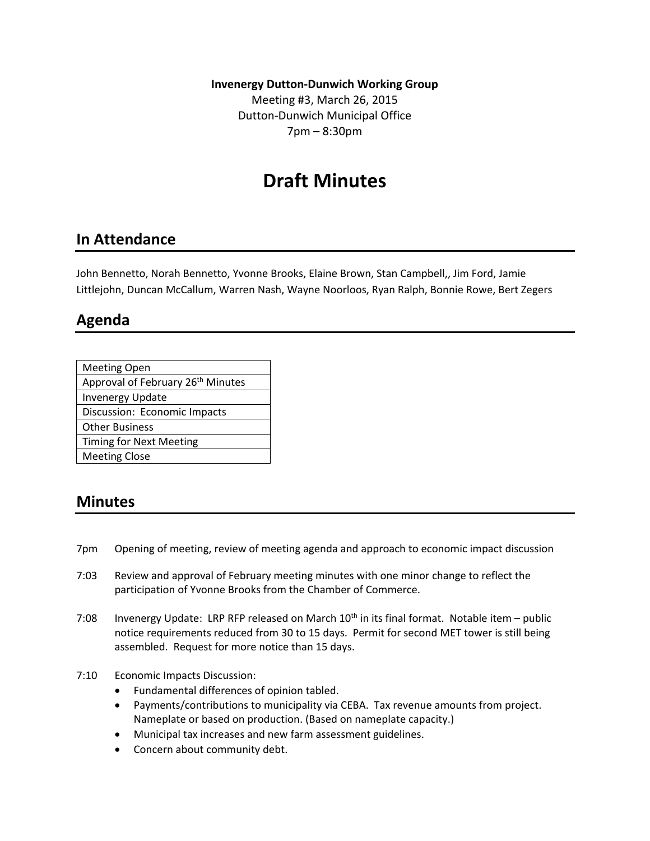**Invenergy Dutton‐Dunwich Working Group**

Meeting #3, March 26, 2015 Dutton‐Dunwich Municipal Office 7pm – 8:30pm

# **Draft Minutes**

#### **In Attendance**

John Bennetto, Norah Bennetto, Yvonne Brooks, Elaine Brown, Stan Campbell,, Jim Ford, Jamie Littlejohn, Duncan McCallum, Warren Nash, Wayne Noorloos, Ryan Ralph, Bonnie Rowe, Bert Zegers

## **Agenda**

| <b>Meeting Open</b>                           |
|-----------------------------------------------|
| Approval of February 26 <sup>th</sup> Minutes |
| <b>Invenergy Update</b>                       |
| Discussion: Economic Impacts                  |
| <b>Other Business</b>                         |
| <b>Timing for Next Meeting</b>                |
| <b>Meeting Close</b>                          |

#### **Minutes**

- 7pm Opening of meeting, review of meeting agenda and approach to economic impact discussion
- 7:03 Review and approval of February meeting minutes with one minor change to reflect the participation of Yvonne Brooks from the Chamber of Commerce.
- 7:08 Invenergy Update: LRP RFP released on March  $10^{th}$  in its final format. Notable item public notice requirements reduced from 30 to 15 days. Permit for second MET tower is still being assembled. Request for more notice than 15 days.
- 7:10 Economic Impacts Discussion:
	- Fundamental differences of opinion tabled.
	- Payments/contributions to municipality via CEBA. Tax revenue amounts from project. Nameplate or based on production. (Based on nameplate capacity.)
	- Municipal tax increases and new farm assessment guidelines.
	- Concern about community debt.